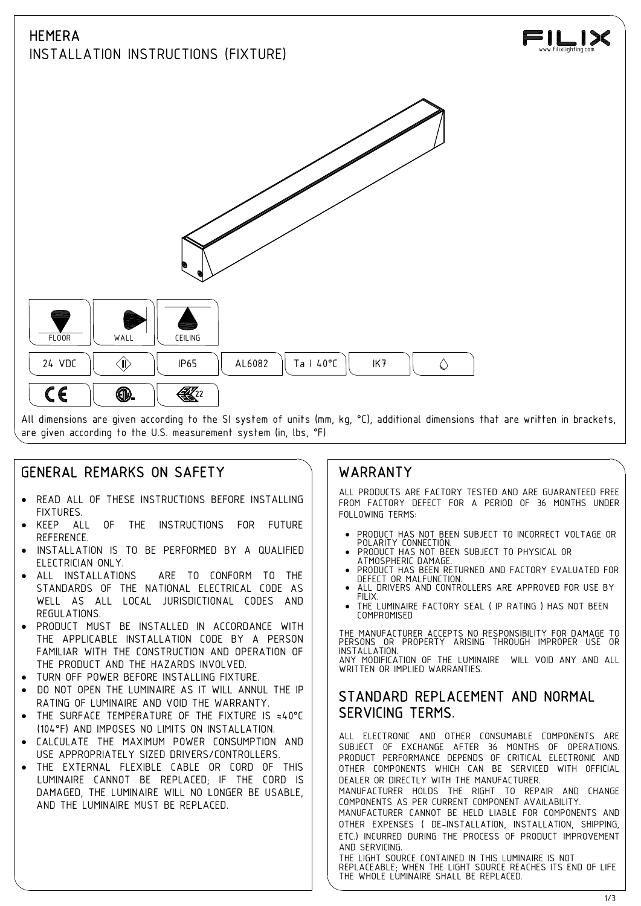# **HEMERA**

INSTALLATION INSTRUCTIONS (FIXTURE)





# GENERAL REMARKS ON SAFETY

- · READ ALL OF THESE INSTRUCTIONS BEFORE INSTALLING **FIXTURES**
- KEEP ALL OF THE INSTRUCTIONS FOR FUTURE REFERENCE.
- INSTALLATION IS TO BE PERFORMED BY A QUALIFIED | . PRODUCT HAS NOT BEEN SUBJECT TO PHYSICAL OR<br>FIFTTRICIAN ONLY ELECTRICIAN ONLY.
- ALL INSTALLATIONS ARE TO CONFORM TO THE | | PRODUCTIAS DELIVIERS STANDARDS OF THE NATIONAL ELECTRICAL CODE AS **ALL** WELL AS ALL LOCAL JURISDICTIONAL CODES AND REGULATIONS.
- PRODUCT MUST BE INSTALLED IN ACCORDANCE WITH THE APPLICABLE INSTALLATION CODE BY A PERSON FAMILIAR WITH THE CONSTRUCTION AND OPERATION OF THE PRODUCT AND THE HAZARDS INVOLVED.
- TURN OFF POWER BEFORE INSTALLING FIXTURE.
- DO NOT OPEN THE LUMINAIRE AS IT WILL ANNUL THE IP RATING OF LUMINAIRE AND VOID THE WARRANTY.
- THE SURFACE TEMPERATURE OF THE FIXTURE IS ≈40°C (104°F) AND IMPOSES NO LIMITS ON INSTALLATION.
- CALCULATE THE MAXIMUM POWER CONSUMPTION AND USE APPROPRIATELY SIZED DRIVERS/CONTROLLERS.
- · THE EXTERNAL FLEXIBLE CABLE OR CORD OF THIS LUMINAIRE CANNOT BE REPLACED; IF THE CORD IS DAMAGED, THE LUMINAIRE WILL NO LONGER BE USABLE, AND THE LUMINAIRE MUST BE REPLACED.

## WARRANTY

ALL PRODUCTS ARE FACTORY TESTED AND ARE GUARANTEED FREE FROM FACTORY DEFECT FOR A PERIOD OF 36 MONTHS UNDER FOLLOWING TERMS:

- · PRODUCT HAS NOT BEEN SUBJECT TO INCORRECT VOLTAGE OR POLARITY CONNECTION. · PRODUCT HAS NOT BEEN SUBJECT TO PHYSICAL OR
- 
- PRODUCT HAS BEEN RETURNED AND FACTORY EVALUATED FOR
- ALL DRIVERS AND CONTROLLERS ARE APPROVED FOR USE BY
- THE LUMINAIRE FACTORY SEAL ( IP RATING ) HAS NOT BEEN COMPROMISED

THE MANUFACTURER ACCEPTS NO RESPONSIBILITY FOR DAMAGE TO PERSONS OR PROPERTY ARISING THROUGH IMPROPER USE OR INSTALLATION. ANY MODIFICATION OF THE LUMINAIRE WILL VOID ANY AND ALL WRITTEN OR IMPLIED WARRANTIES.

## STANDARD REPLACEMENT AND NORMAL SERVICING TERMS.

ALL ELECTRONIC AND OTHER CONSUMABLE COMPONENTS ARE SUBJECT OF EXCHANGE AFTER 36 MONTHS OF OPERATIONS. PRODUCT PERFORMANCE DEPENDS OF CRITICAL ELECTRONIC AND OTHER COMPONENTS WHICH CAN BE SERVICED WITH OFFICIAL DEALER OR DIRECTLY WITH THE MANUFACTURER.

MANUFACTURER HOLDS THE RIGHT TO REPAIR AND CHANGE COMPONENTS AS PER CURRENT COMPONENT AVAILABILITY. MANUFACTURER CANNOT BE HELD LIABLE FOR COMPONENTS AND

OTHER EXPENSES ( DE-INSTALLATION, INSTALLATION, SHIPPING, ETC.) INCURRED DURING THE PROCESS OF PRODUCT IMPROVEMENT AND SERVICING.

THE LIGHT SOURCE CONTAINED IN THIS LUMINAIRE IS NOT REPLACEABLE; WHEN THE LIGHT SOURCE REACHES ITS END OF LIFE THE WHOLE LUMINAIRE SHALL BE REPLACED.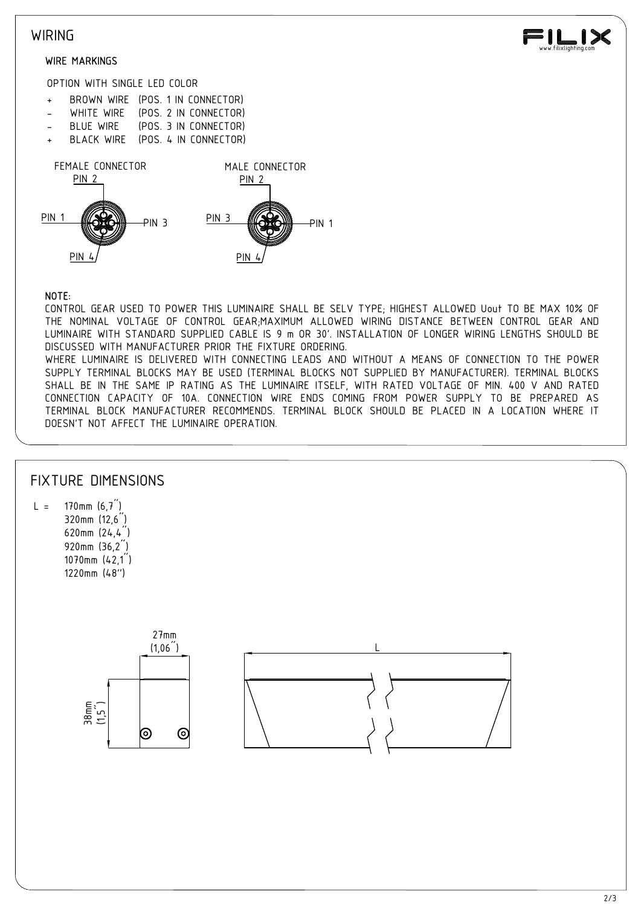### **WIRING**

#### WIRE MARKINGS



OPTION WITH SINGLE LED COLOR

- 
- 
- 
- 



#### NOTE:

CONTROL GEAR USED TO POWER THIS LUMINAIRE SHALL BE SELV TYPE; HIGHEST ALLOWED Uout TO BE MAX 10% OF THE NOMINAL VOLTAGE OF CONTROL GEAR;MAXIMUM ALLOWED WIRING DISTANCE BETWEEN CONTROL GEAR AND LUMINAIRE WITH STANDARD SUPPLIED CABLE IS 9 m OR 30'. INSTALLATION OF LONGER WIRING LENGTHS SHOULD BE DISCUSSED WITH MANUFACTURER PRIOR THE FIXTURE ORDERING. WHERE LUMINAIRE IS DELIVERED WITH CONNECTING LEADS AND WITHOUT A MEANS OF CONNECTION TO THE POWER SUPPLY TERMINAL BLOCKS MAY BE USED (TERMINAL BLOCKS NOT SUPPLIED BY MANUFACTURER). TERMINAL BLOCKS SHALL BE IN THE SAME IP RATING AS THE LUMINAIRE ITSELF, WITH RATED VOLTAGE OF MIN. 400 V AND RATED CONNECTION CAPACITY OF 10A. CONNECTION WIRE ENDS COMING FROM POWER SUPPLY TO BE PREPARED AS TERMINAL BLOCK MANUFACTURER RECOMMENDS. TERMINAL BLOCK SHOULD BE PLACED IN A LOCATION WHERE IT DOESN'T NOT AFFECT THE LUMINAIRE OPERATION.